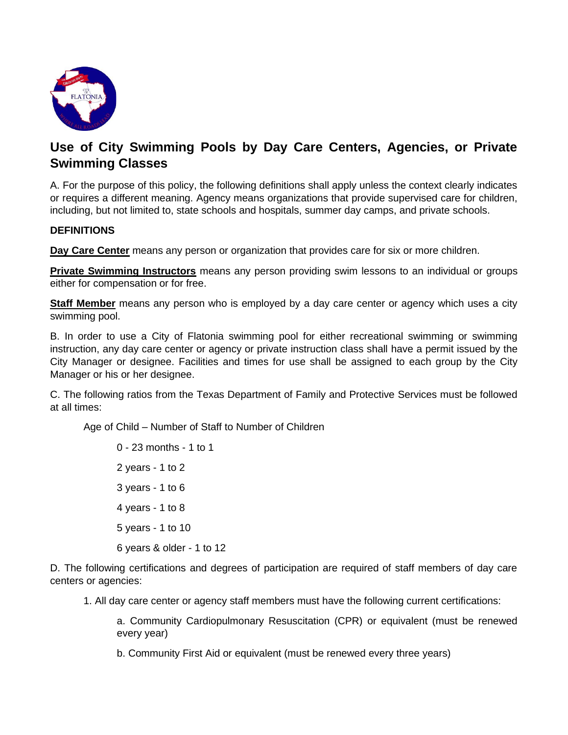

## **Use of City Swimming Pools by Day Care Centers, Agencies, or Private Swimming Classes**

A. For the purpose of this policy, the following definitions shall apply unless the context clearly indicates or requires a different meaning. Agency means organizations that provide supervised care for children, including, but not limited to, state schools and hospitals, summer day camps, and private schools.

## **DEFINITIONS**

**Day Care Center** means any person or organization that provides care for six or more children.

**Private Swimming Instructors** means any person providing swim lessons to an individual or groups either for compensation or for free.

**Staff Member** means any person who is employed by a day care center or agency which uses a city swimming pool.

B. In order to use a City of Flatonia swimming pool for either recreational swimming or swimming instruction, any day care center or agency or private instruction class shall have a permit issued by the City Manager or designee. Facilities and times for use shall be assigned to each group by the City Manager or his or her designee.

C. The following ratios from the Texas Department of Family and Protective Services must be followed at all times:

Age of Child – Number of Staff to Number of Children

0 - 23 months - 1 to 1 2 years - 1 to 2 3 years - 1 to 6 4 years - 1 to 8 5 years - 1 to 10 6 years & older - 1 to 12

D. The following certifications and degrees of participation are required of staff members of day care centers or agencies:

1. All day care center or agency staff members must have the following current certifications:

a. Community Cardiopulmonary Resuscitation (CPR) or equivalent (must be renewed every year)

b. Community First Aid or equivalent (must be renewed every three years)